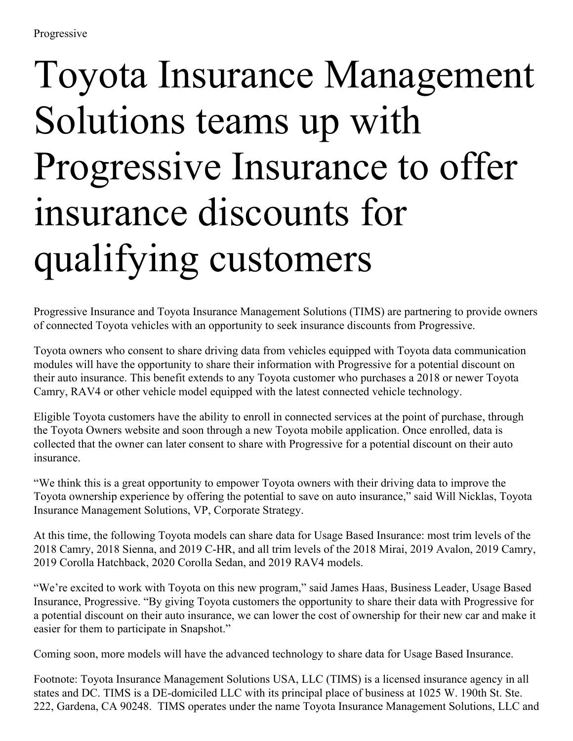## Toyota Insurance Management Solutions teams up with Progressive Insurance to offer insurance discounts for qualifying customers

Progressive Insurance and Toyota Insurance Management Solutions (TIMS) are partnering to provide owners of connected Toyota vehicles with an opportunity to seek insurance discounts from Progressive.

Toyota owners who consent to share driving data from vehicles equipped with Toyota data communication modules will have the opportunity to share their information with Progressive for a potential discount on their auto insurance. This benefit extends to any Toyota customer who purchases a 2018 or newer Toyota Camry, RAV4 or other vehicle model equipped with the latest connected vehicle technology.

Eligible Toyota customers have the ability to enroll in connected services at the point of purchase, through the Toyota Owners website and soon through a new Toyota mobile application. Once enrolled, data is collected that the owner can later consent to share with Progressive for a potential discount on their auto insurance.

"We think this is a great opportunity to empower Toyota owners with their driving data to improve the Toyota ownership experience by offering the potential to save on auto insurance," said Will Nicklas, Toyota Insurance Management Solutions, VP, Corporate Strategy.

At this time, the following Toyota models can share data for Usage Based Insurance: most trim levels of the 2018 Camry, 2018 Sienna, and 2019 C-HR, and all trim levels of the 2018 Mirai, 2019 Avalon, 2019 Camry, 2019 Corolla Hatchback, 2020 Corolla Sedan, and 2019 RAV4 models.

"We're excited to work with Toyota on this new program," said James Haas, Business Leader, Usage Based Insurance, Progressive. "By giving Toyota customers the opportunity to share their data with Progressive for a potential discount on their auto insurance, we can lower the cost of ownership for their new car and make it easier for them to participate in Snapshot."

Coming soon, more models will have the advanced technology to share data for Usage Based Insurance.

Footnote: Toyota Insurance Management Solutions USA, LLC (TIMS) is a licensed insurance agency in all states and DC. TIMS is a DE-domiciled LLC with its principal place of business at 1025 W. 190th St. Ste. 222, Gardena, CA 90248. TIMS operates under the name Toyota Insurance Management Solutions, LLC and